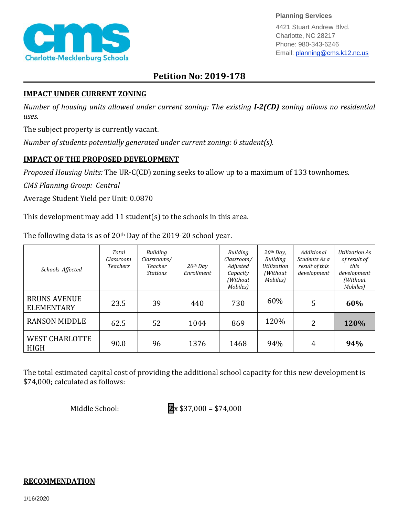

**Planning Services**

4421 Stuart Andrew Blvd. Charlotte, NC 28217 Phone: 980-343-6246 Email: planning@cms.k12.nc.us

## **Petition No: 2019-178**

## **IMPACT UNDER CURRENT ZONING**

*Number of housing units allowed under current zoning: The existing I-2(CD) zoning allows no residential uses.*

The subject property is currently vacant.

*Number of students potentially generated under current zoning: 0 student(s).*

## **IMPACT OF THE PROPOSED DEVELOPMENT**

*Proposed Housing Units:* The UR-C(CD) zoning seeks to allow up to a maximum of 133 townhomes.

*CMS Planning Group: Central*

Average Student Yield per Unit: 0.0870

This development may add 11 student(s) to the schools in this area.

The following data is as of 20<sup>th</sup> Day of the 2019-20 school year.

| Schools Affected                         | Total<br>Classroom<br><i>Teachers</i> | Building<br>Classrooms/<br>Teacher<br><b>Stations</b> | $20$ <sup>th</sup> Day<br>Enrollment | Building<br>Classroom/<br>Adjusted<br>Capacity<br>(Without<br>Mobiles) | $20$ <sup>th</sup> Day,<br><b>Building</b><br><b>Utilization</b><br>(Without)<br>Mobiles) | Additional<br>Students As a<br>result of this<br>development | Utilization As<br>of result of<br>this<br>development<br>(Without<br>Mobiles) |
|------------------------------------------|---------------------------------------|-------------------------------------------------------|--------------------------------------|------------------------------------------------------------------------|-------------------------------------------------------------------------------------------|--------------------------------------------------------------|-------------------------------------------------------------------------------|
| <b>BRUNS AVENUE</b><br><b>ELEMENTARY</b> | 23.5                                  | 39                                                    | 440                                  | 730                                                                    | 60%                                                                                       | 5                                                            | 60%                                                                           |
| <b>RANSON MIDDLE</b>                     | 62.5                                  | 52                                                    | 1044                                 | 869                                                                    | 120%                                                                                      | 2                                                            | 120%                                                                          |
| <b>WEST CHARLOTTE</b><br><b>HIGH</b>     | 90.0                                  | 96                                                    | 1376                                 | 1468                                                                   | 94%                                                                                       | 4                                                            | 94%                                                                           |

The total estimated capital cost of providing the additional school capacity for this new development is \$74,000; calculated as follows:

Middle School: **2**x \$37,000 = \$74,000

## **RECOMMENDATION**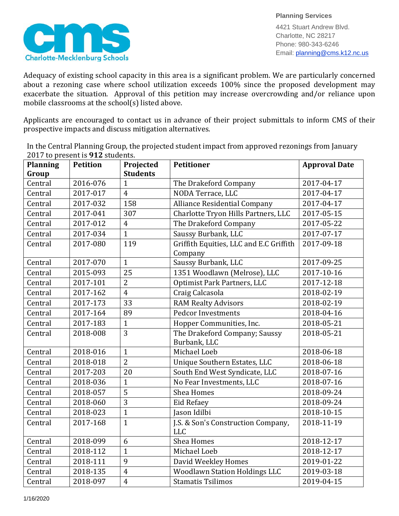

4421 Stuart Andrew Blvd. Charlotte, NC 28217 Phone: 980-343-6246 Email: planning@cms.k12.nc.us

Adequacy of existing school capacity in this area is a significant problem. We are particularly concerned about a rezoning case where school utilization exceeds 100% since the proposed development may exacerbate the situation. Approval of this petition may increase overcrowding and/or reliance upon mobile classrooms at the school(s) listed above.

Applicants are encouraged to contact us in advance of their project submittals to inform CMS of their prospective impacts and discuss mitigation alternatives.

In the Central Planning Group, the projected student impact from approved rezonings from January 2017 to present is **912** students.

| <b>Planning</b> | <b>Petition</b> | Projected       | <b>Petitioner</b>                                  | <b>Approval Date</b> |
|-----------------|-----------------|-----------------|----------------------------------------------------|----------------------|
| Group           |                 | <b>Students</b> |                                                    |                      |
| Central         | 2016-076        | $\mathbf{1}$    | The Drakeford Company                              | 2017-04-17           |
| Central         | 2017-017        | $\overline{4}$  | NODA Terrace, LLC                                  | 2017-04-17           |
| Central         | 2017-032        | 158             | <b>Alliance Residential Company</b>                | 2017-04-17           |
| Central         | 2017-041        | 307             | Charlotte Tryon Hills Partners, LLC                | 2017-05-15           |
| Central         | 2017-012        | $\overline{4}$  | The Drakeford Company                              | 2017-05-22           |
| Central         | 2017-034        | $\mathbf{1}$    | Saussy Burbank, LLC                                | 2017-07-17           |
| Central         | 2017-080        | 119             | Griffith Equities, LLC and E.C Griffith<br>Company | 2017-09-18           |
| Central         | 2017-070        | $\mathbf{1}$    | Saussy Burbank, LLC                                | 2017-09-25           |
| Central         | 2015-093        | 25              | 1351 Woodlawn (Melrose), LLC                       | 2017-10-16           |
| Central         | 2017-101        | $\overline{2}$  | <b>Optimist Park Partners, LLC</b>                 | 2017-12-18           |
| Central         | 2017-162        | $\overline{4}$  | Craig Calcasola                                    | 2018-02-19           |
| Central         | 2017-173        | 33              | <b>RAM Realty Advisors</b>                         | 2018-02-19           |
| Central         | 2017-164        | 89              | <b>Pedcor Investments</b>                          | 2018-04-16           |
| Central         | 2017-183        | $\mathbf{1}$    | Hopper Communities, Inc.                           | 2018-05-21           |
| Central         | 2018-008        | 3               | The Drakeford Company; Saussy                      | 2018-05-21           |
|                 |                 |                 | Burbank, LLC                                       |                      |
| Central         | 2018-016        | $\mathbf{1}$    | Michael Loeb                                       | 2018-06-18           |
| Central         | 2018-018        | $\overline{2}$  | Unique Southern Estates, LLC                       | 2018-06-18           |
| Central         | 2017-203        | 20              | South End West Syndicate, LLC                      | 2018-07-16           |
| Central         | 2018-036        | $\mathbf{1}$    | No Fear Investments, LLC                           | 2018-07-16           |
| Central         | 2018-057        | 5               | <b>Shea Homes</b>                                  | 2018-09-24           |
| Central         | 2018-060        | 3               | <b>Eid Refaey</b>                                  | 2018-09-24           |
| Central         | 2018-023        | $\mathbf{1}$    | Jason Idilbi                                       | 2018-10-15           |
| Central         | 2017-168        | $\mathbf{1}$    | J.S. & Son's Construction Company,<br><b>LLC</b>   | 2018-11-19           |
| Central         | 2018-099        | 6               | <b>Shea Homes</b>                                  | 2018-12-17           |
| Central         | 2018-112        | $\mathbf{1}$    | Michael Loeb                                       | 2018-12-17           |
| Central         | 2018-111        | 9               | David Weekley Homes                                | 2019-01-22           |
| Central         | 2018-135        | $\overline{4}$  | <b>Woodlawn Station Holdings LLC</b>               | 2019-03-18           |
| Central         | 2018-097        | $\overline{4}$  | <b>Stamatis Tsilimos</b>                           | 2019-04-15           |